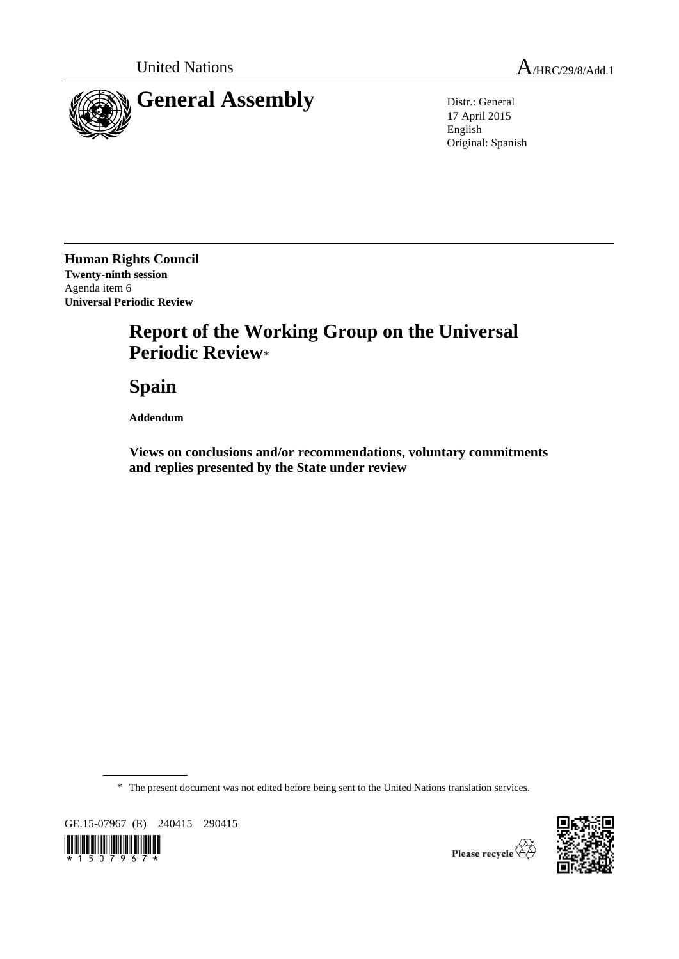

17 April 2015 English Original: Spanish

**Human Rights Council Twenty-ninth session** Agenda item 6 **Universal Periodic Review**

## **Report of the Working Group on the Universal Periodic Review**\*

**Spain**

**Addendum**

**Views on conclusions and/or recommendations, voluntary commitments and replies presented by the State under review**

\* The present document was not edited before being sent to the United Nations translation services.

GE.15-07967 (E) 240415 290415





Thease recycle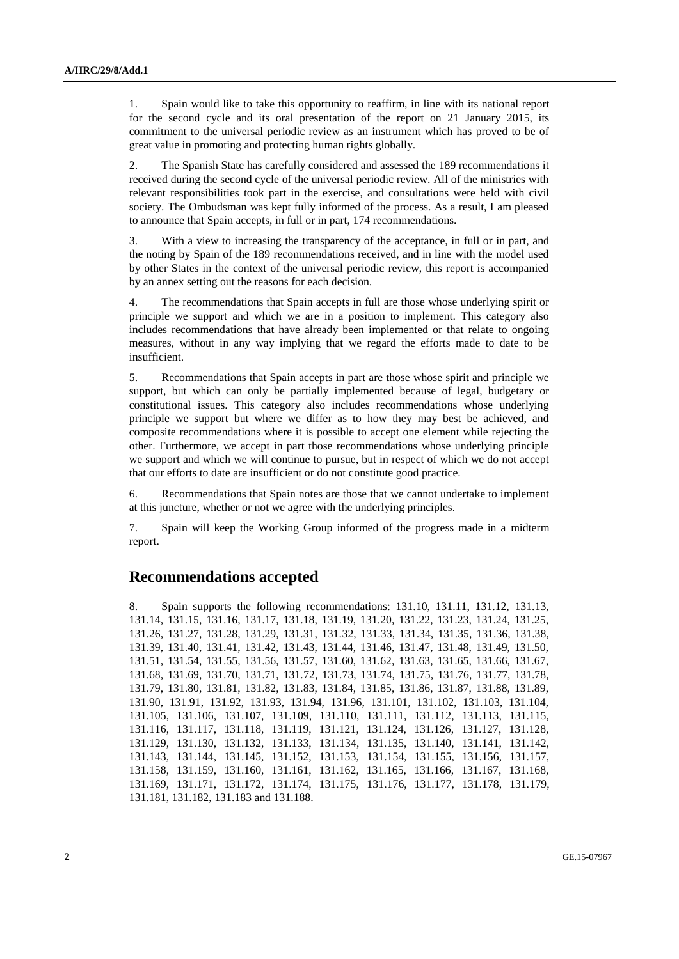1. Spain would like to take this opportunity to reaffirm, in line with its national report for the second cycle and its oral presentation of the report on 21 January 2015, its commitment to the universal periodic review as an instrument which has proved to be of great value in promoting and protecting human rights globally.

2. The Spanish State has carefully considered and assessed the 189 recommendations it received during the second cycle of the universal periodic review. All of the ministries with relevant responsibilities took part in the exercise, and consultations were held with civil society. The Ombudsman was kept fully informed of the process. As a result, I am pleased to announce that Spain accepts, in full or in part, 174 recommendations.

3. With a view to increasing the transparency of the acceptance, in full or in part, and the noting by Spain of the 189 recommendations received, and in line with the model used by other States in the context of the universal periodic review, this report is accompanied by an annex setting out the reasons for each decision.

4. The recommendations that Spain accepts in full are those whose underlying spirit or principle we support and which we are in a position to implement. This category also includes recommendations that have already been implemented or that relate to ongoing measures, without in any way implying that we regard the efforts made to date to be insufficient.

5. Recommendations that Spain accepts in part are those whose spirit and principle we support, but which can only be partially implemented because of legal, budgetary or constitutional issues. This category also includes recommendations whose underlying principle we support but where we differ as to how they may best be achieved, and composite recommendations where it is possible to accept one element while rejecting the other. Furthermore, we accept in part those recommendations whose underlying principle we support and which we will continue to pursue, but in respect of which we do not accept that our efforts to date are insufficient or do not constitute good practice.

6. Recommendations that Spain notes are those that we cannot undertake to implement at this juncture, whether or not we agree with the underlying principles.

7. Spain will keep the Working Group informed of the progress made in a midterm report.

## **Recommendations accepted**

8. Spain supports the following recommendations: 131.10, 131.11, 131.12, 131.13, 131.14, 131.15, 131.16, 131.17, 131.18, 131.19, 131.20, 131.22, 131.23, 131.24, 131.25, 131.26, 131.27, 131.28, 131.29, 131.31, 131.32, 131.33, 131.34, 131.35, 131.36, 131.38, 131.39, 131.40, 131.41, 131.42, 131.43, 131.44, 131.46, 131.47, 131.48, 131.49, 131.50, 131.51, 131.54, 131.55, 131.56, 131.57, 131.60, 131.62, 131.63, 131.65, 131.66, 131.67, 131.68, 131.69, 131.70, 131.71, 131.72, 131.73, 131.74, 131.75, 131.76, 131.77, 131.78, 131.79, 131.80, 131.81, 131.82, 131.83, 131.84, 131.85, 131.86, 131.87, 131.88, 131.89, 131.90, 131.91, 131.92, 131.93, 131.94, 131.96, 131.101, 131.102, 131.103, 131.104, 131.105, 131.106, 131.107, 131.109, 131.110, 131.111, 131.112, 131.113, 131.115, 131.116, 131.117, 131.118, 131.119, 131.121, 131.124, 131.126, 131.127, 131.128, 131.129, 131.130, 131.132, 131.133, 131.134, 131.135, 131.140, 131.141, 131.142, 131.143, 131.144, 131.145, 131.152, 131.153, 131.154, 131.155, 131.156, 131.157, 131.158, 131.159, 131.160, 131.161, 131.162, 131.165, 131.166, 131.167, 131.168, 131.169, 131.171, 131.172, 131.174, 131.175, 131.176, 131.177, 131.178, 131.179, 131.181, 131.182, 131.183 and 131.188.